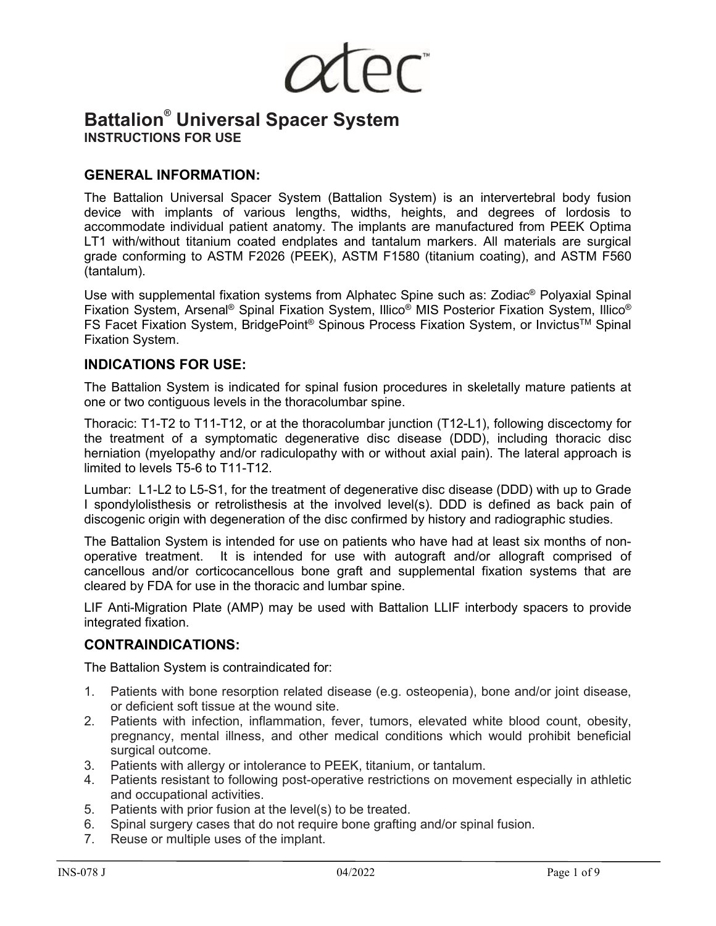

# **Battalion® Universal Spacer System INSTRUCTIONS FOR USE**

## **GENERAL INFORMATION:**

The Battalion Universal Spacer System (Battalion System) is an intervertebral body fusion device with implants of various lengths, widths, heights, and degrees of lordosis to accommodate individual patient anatomy. The implants are manufactured from PEEK Optima LT1 with/without titanium coated endplates and tantalum markers. All materials are surgical grade conforming to ASTM F2026 (PEEK), ASTM F1580 (titanium coating), and ASTM F560 (tantalum).

Use with supplemental fixation systems from Alphatec Spine such as: Zodiac® Polyaxial Spinal Fixation System, Arsenal® Spinal Fixation System, Illico® MIS Posterior Fixation System, Illico® FS Facet Fixation System, BridgePoint<sup>®</sup> Spinous Process Fixation System, or Invictus<sup>™</sup> Spinal Fixation System.

### **INDICATIONS FOR USE:**

The Battalion System is indicated for spinal fusion procedures in skeletally mature patients at one or two contiguous levels in the thoracolumbar spine.

Thoracic: T1-T2 to T11-T12, or at the thoracolumbar junction (T12-L1), following discectomy for the treatment of a symptomatic degenerative disc disease (DDD), including thoracic disc herniation (myelopathy and/or radiculopathy with or without axial pain). The lateral approach is limited to levels T5-6 to T11-T12.

Lumbar: L1-L2 to L5-S1, for the treatment of degenerative disc disease (DDD) with up to Grade I spondylolisthesis or retrolisthesis at the involved level(s). DDD is defined as back pain of discogenic origin with degeneration of the disc confirmed by history and radiographic studies.

The Battalion System is intended for use on patients who have had at least six months of nonoperative treatment. It is intended for use with autograft and/or allograft comprised of cancellous and/or corticocancellous bone graft and supplemental fixation systems that are cleared by FDA for use in the thoracic and lumbar spine.

LIF Anti-Migration Plate (AMP) may be used with Battalion LLIF interbody spacers to provide integrated fixation.

### **CONTRAINDICATIONS:**

The Battalion System is contraindicated for:

- 1. Patients with bone resorption related disease (e.g. osteopenia), bone and/or joint disease, or deficient soft tissue at the wound site.
- 2. Patients with infection, inflammation, fever, tumors, elevated white blood count, obesity, pregnancy, mental illness, and other medical conditions which would prohibit beneficial surgical outcome.
- 3. Patients with allergy or intolerance to PEEK, titanium, or tantalum.
- 4. Patients resistant to following post-operative restrictions on movement especially in athletic and occupational activities.
- 5. Patients with prior fusion at the level(s) to be treated.
- 6. Spinal surgery cases that do not require bone grafting and/or spinal fusion.
- 7. Reuse or multiple uses of the implant.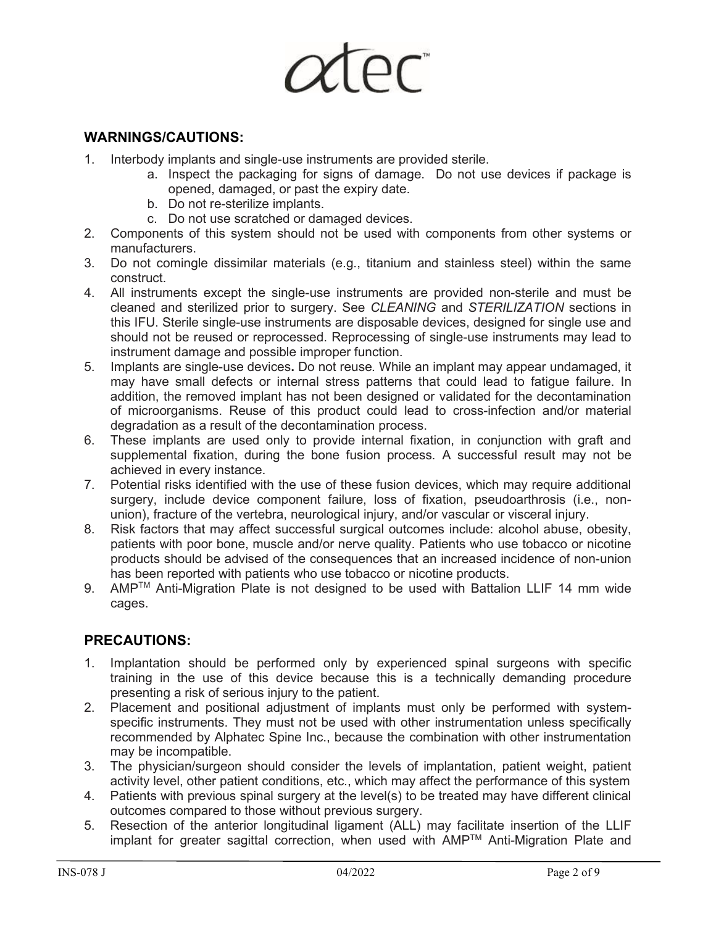

## **WARNINGS/CAUTIONS:**

- 1. Interbody implants and single-use instruments are provided sterile.
	- a. Inspect the packaging for signs of damage. Do not use devices if package is opened, damaged, or past the expiry date.
	- b. Do not re-sterilize implants.
	- c. Do not use scratched or damaged devices.
- 2. Components of this system should not be used with components from other systems or manufacturers.
- 3. Do not comingle dissimilar materials (e.g., titanium and stainless steel) within the same construct.
- 4. All instruments except the single-use instruments are provided non-sterile and must be cleaned and sterilized prior to surgery. See *CLEANING* and *STERILIZATION* sections in this IFU. Sterile single-use instruments are disposable devices, designed for single use and should not be reused or reprocessed. Reprocessing of single-use instruments may lead to instrument damage and possible improper function.
- 5. Implants are single-use devices**.** Do not reuse*.* While an implant may appear undamaged, it may have small defects or internal stress patterns that could lead to fatigue failure. In addition, the removed implant has not been designed or validated for the decontamination of microorganisms. Reuse of this product could lead to cross-infection and/or material degradation as a result of the decontamination process.
- 6. These implants are used only to provide internal fixation, in conjunction with graft and supplemental fixation, during the bone fusion process. A successful result may not be achieved in every instance.
- 7. Potential risks identified with the use of these fusion devices, which may require additional surgery, include device component failure, loss of fixation, pseudoarthrosis (i.e., nonunion), fracture of the vertebra, neurological injury, and/or vascular or visceral injury.
- 8. Risk factors that may affect successful surgical outcomes include: alcohol abuse, obesity, patients with poor bone, muscle and/or nerve quality. Patients who use tobacco or nicotine products should be advised of the consequences that an increased incidence of non-union has been reported with patients who use tobacco or nicotine products.
- 9. AMP<sup>™</sup> Anti-Migration Plate is not designed to be used with Battalion LLIF 14 mm wide cages.

# **PRECAUTIONS:**

- 1. Implantation should be performed only by experienced spinal surgeons with specific training in the use of this device because this is a technically demanding procedure presenting a risk of serious injury to the patient.
- 2. Placement and positional adjustment of implants must only be performed with systemspecific instruments. They must not be used with other instrumentation unless specifically recommended by Alphatec Spine Inc., because the combination with other instrumentation may be incompatible.
- 3. The physician/surgeon should consider the levels of implantation, patient weight, patient activity level, other patient conditions, etc., which may affect the performance of this system
- 4. Patients with previous spinal surgery at the level(s) to be treated may have different clinical outcomes compared to those without previous surgery.
- 5. Resection of the anterior longitudinal ligament (ALL) may facilitate insertion of the LLIF implant for greater sagittal correction, when used with AMPTM Anti-Migration Plate and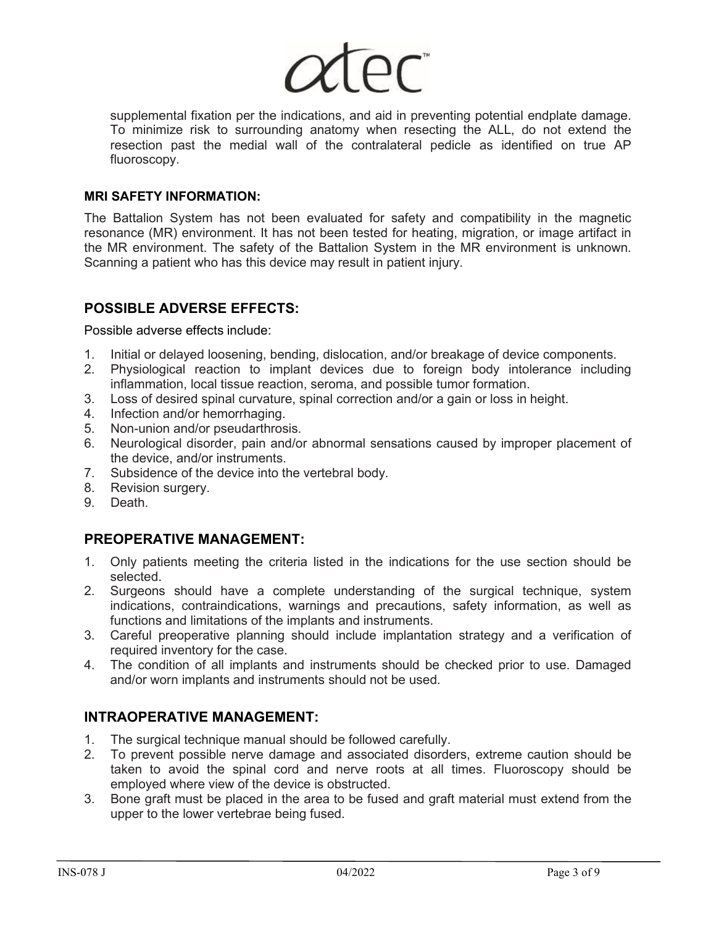

supplemental fixation per the indications, and aid in preventing potential endplate damage. To minimize risk to surrounding anatomy when resecting the ALL, do not extend the resection past the medial wall of the contralateral pedicle as identified on true AP fluoroscopy.

#### **MRI SAFETY INFORMATION:**

The Battalion System has not been evaluated for safety and compatibility in the magnetic resonance (MR) environment. It has not been tested for heating, migration, or image artifact in the MR environment. The safety of the Battalion System in the MR environment is unknown. Scanning a patient who has this device may result in patient injury.

# **POSSIBLE ADVERSE EFFECTS:**

Possible adverse effects include:

- 1. Initial or delayed loosening, bending, dislocation, and/or breakage of device components.
- 2. Physiological reaction to implant devices due to foreign body intolerance including inflammation, local tissue reaction, seroma, and possible tumor formation.
- 3. Loss of desired spinal curvature, spinal correction and/or a gain or loss in height.
- 4. Infection and/or hemorrhaging.
- 5. Non-union and/or pseudarthrosis.<br>6. Neurological disorder, pain and/or
- Neurological disorder, pain and/or abnormal sensations caused by improper placement of the device, and/or instruments.
- 7. Subsidence of the device into the vertebral body.
- 8. Revision surgery.
- 9. Death.

# **PREOPERATIVE MANAGEMENT:**

- 1. Only patients meeting the criteria listed in the indications for the use section should be selected.
- 2. Surgeons should have a complete understanding of the surgical technique, system indications, contraindications, warnings and precautions, safety information, as well as functions and limitations of the implants and instruments.
- 3. Careful preoperative planning should include implantation strategy and a verification of required inventory for the case.
- 4. The condition of all implants and instruments should be checked prior to use. Damaged and/or worn implants and instruments should not be used.

### **INTRAOPERATIVE MANAGEMENT:**

- 1. The surgical technique manual should be followed carefully.
- 2. To prevent possible nerve damage and associated disorders, extreme caution should be taken to avoid the spinal cord and nerve roots at all times. Fluoroscopy should be employed where view of the device is obstructed.
- 3. Bone graft must be placed in the area to be fused and graft material must extend from the upper to the lower vertebrae being fused.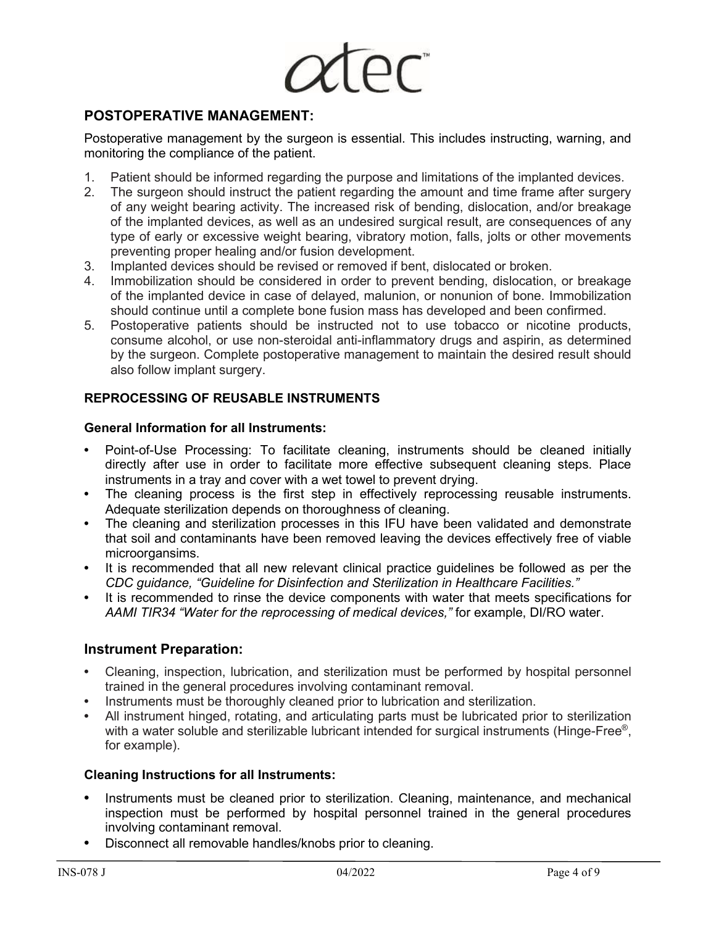

## **POSTOPERATIVE MANAGEMENT:**

Postoperative management by the surgeon is essential. This includes instructing, warning, and monitoring the compliance of the patient.

- 1. Patient should be informed regarding the purpose and limitations of the implanted devices.
- 2. The surgeon should instruct the patient regarding the amount and time frame after surgery of any weight bearing activity. The increased risk of bending, dislocation, and/or breakage of the implanted devices, as well as an undesired surgical result, are consequences of any type of early or excessive weight bearing, vibratory motion, falls, jolts or other movements preventing proper healing and/or fusion development.
- 3. Implanted devices should be revised or removed if bent, dislocated or broken.
- 4. Immobilization should be considered in order to prevent bending, dislocation, or breakage of the implanted device in case of delayed, malunion, or nonunion of bone. Immobilization should continue until a complete bone fusion mass has developed and been confirmed.
- 5. Postoperative patients should be instructed not to use tobacco or nicotine products, consume alcohol, or use non-steroidal anti-inflammatory drugs and aspirin, as determined by the surgeon. Complete postoperative management to maintain the desired result should also follow implant surgery.

### **REPROCESSING OF REUSABLE INSTRUMENTS**

#### **General Information for all Instruments:**

- **•** Point-of-Use Processing: To facilitate cleaning, instruments should be cleaned initially directly after use in order to facilitate more effective subsequent cleaning steps. Place instruments in a tray and cover with a wet towel to prevent drying.
- **•** The cleaning process is the first step in effectively reprocessing reusable instruments. Adequate sterilization depends on thoroughness of cleaning.
- **•** The cleaning and sterilization processes in this IFU have been validated and demonstrate that soil and contaminants have been removed leaving the devices effectively free of viable microorgansims.
- **•** It is recommended that all new relevant clinical practice guidelines be followed as per the *CDC guidance, "Guideline for Disinfection and Sterilization in Healthcare Facilities."*
- **•** It is recommended to rinse the device components with water that meets specifications for *AAMI TIR34 "Water for the reprocessing of medical devices,"* for example, DI/RO water.

### **Instrument Preparation:**

- **•** Cleaning, inspection, lubrication, and sterilization must be performed by hospital personnel trained in the general procedures involving contaminant removal.
- **•** Instruments must be thoroughly cleaned prior to lubrication and sterilization.
- **•** All instrument hinged, rotating, and articulating parts must be lubricated prior to sterilization with a water soluble and sterilizable lubricant intended for surgical instruments (Hinge-Free®, for example).

#### **Cleaning Instructions for all Instruments:**

- **•** Instruments must be cleaned prior to sterilization. Cleaning, maintenance, and mechanical inspection must be performed by hospital personnel trained in the general procedures involving contaminant removal.
- **•** Disconnect all removable handles/knobs prior to cleaning.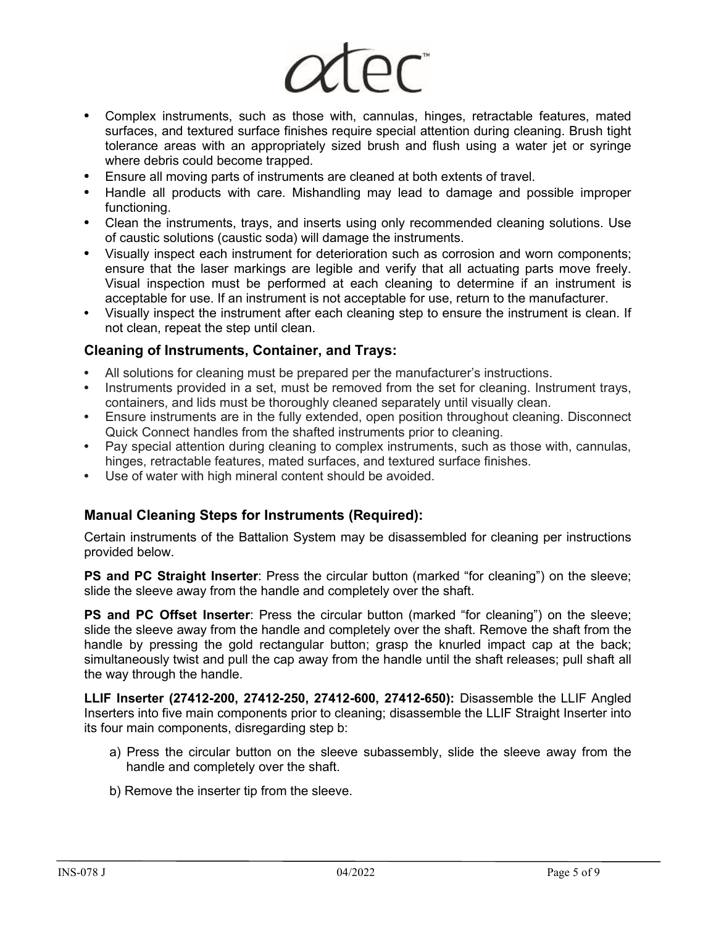

- **•** Complex instruments, such as those with, cannulas, hinges, retractable features, mated surfaces, and textured surface finishes require special attention during cleaning. Brush tight tolerance areas with an appropriately sized brush and flush using a water jet or syringe where debris could become trapped.
- **•** Ensure all moving parts of instruments are cleaned at both extents of travel.
- **•** Handle all products with care. Mishandling may lead to damage and possible improper functioning.
- **•** Clean the instruments, trays, and inserts using only recommended cleaning solutions. Use of caustic solutions (caustic soda) will damage the instruments.
- **•** Visually inspect each instrument for deterioration such as corrosion and worn components; ensure that the laser markings are legible and verify that all actuating parts move freely. Visual inspection must be performed at each cleaning to determine if an instrument is acceptable for use. If an instrument is not acceptable for use, return to the manufacturer.
- **•** Visually inspect the instrument after each cleaning step to ensure the instrument is clean. If not clean, repeat the step until clean.

### **Cleaning of Instruments, Container, and Trays:**

- **•** All solutions for cleaning must be prepared per the manufacturer's instructions.
- **•** Instruments provided in a set, must be removed from the set for cleaning. Instrument trays, containers, and lids must be thoroughly cleaned separately until visually clean.
- **•** Ensure instruments are in the fully extended, open position throughout cleaning. Disconnect Quick Connect handles from the shafted instruments prior to cleaning.
- **•** Pay special attention during cleaning to complex instruments, such as those with, cannulas, hinges, retractable features, mated surfaces, and textured surface finishes.
- **•** Use of water with high mineral content should be avoided.

### **Manual Cleaning Steps for Instruments (Required):**

Certain instruments of the Battalion System may be disassembled for cleaning per instructions provided below.

**PS and PC Straight Inserter:** Press the circular button (marked "for cleaning") on the sleeve; slide the sleeve away from the handle and completely over the shaft.

**PS and PC Offset Inserter**: Press the circular button (marked "for cleaning") on the sleeve; slide the sleeve away from the handle and completely over the shaft. Remove the shaft from the handle by pressing the gold rectangular button; grasp the knurled impact cap at the back; simultaneously twist and pull the cap away from the handle until the shaft releases; pull shaft all the way through the handle.

**LLIF Inserter (27412-200, 27412-250, 27412-600, 27412-650):** Disassemble the LLIF Angled Inserters into five main components prior to cleaning; disassemble the LLIF Straight Inserter into its four main components, disregarding step b:

- a) Press the circular button on the sleeve subassembly, slide the sleeve away from the handle and completely over the shaft.
- b) Remove the inserter tip from the sleeve.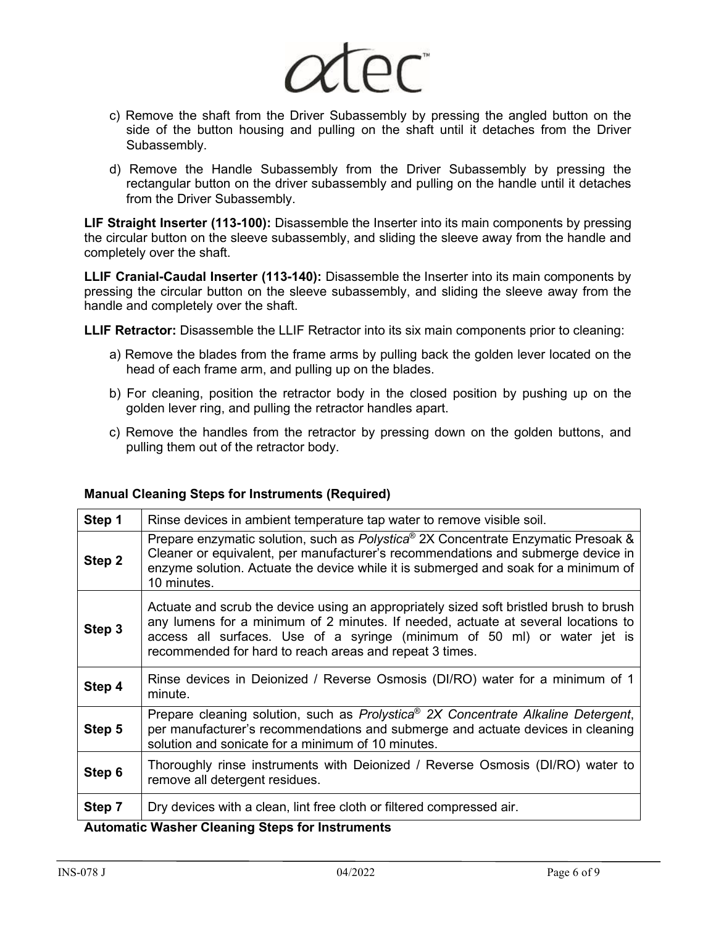

- c) Remove the shaft from the Driver Subassembly by pressing the angled button on the side of the button housing and pulling on the shaft until it detaches from the Driver Subassembly.
- d) Remove the Handle Subassembly from the Driver Subassembly by pressing the rectangular button on the driver subassembly and pulling on the handle until it detaches from the Driver Subassembly.

**LIF Straight Inserter (113-100):** Disassemble the Inserter into its main components by pressing the circular button on the sleeve subassembly, and sliding the sleeve away from the handle and completely over the shaft.

**LLIF Cranial-Caudal Inserter (113-140):** Disassemble the Inserter into its main components by pressing the circular button on the sleeve subassembly, and sliding the sleeve away from the handle and completely over the shaft.

**LLIF Retractor:** Disassemble the LLIF Retractor into its six main components prior to cleaning:

- a) Remove the blades from the frame arms by pulling back the golden lever located on the head of each frame arm, and pulling up on the blades.
- b) For cleaning, position the retractor body in the closed position by pushing up on the golden lever ring, and pulling the retractor handles apart.
- c) Remove the handles from the retractor by pressing down on the golden buttons, and pulling them out of the retractor body.

| Step 1 | Rinse devices in ambient temperature tap water to remove visible soil.                                                                                                                                                                                                                                             |  |  |  |  |
|--------|--------------------------------------------------------------------------------------------------------------------------------------------------------------------------------------------------------------------------------------------------------------------------------------------------------------------|--|--|--|--|
| Step 2 | Prepare enzymatic solution, such as Polystica® 2X Concentrate Enzymatic Presoak &<br>Cleaner or equivalent, per manufacturer's recommendations and submerge device in<br>enzyme solution. Actuate the device while it is submerged and soak for a minimum of<br>10 minutes.                                        |  |  |  |  |
| Step 3 | Actuate and scrub the device using an appropriately sized soft bristled brush to brush<br>any lumens for a minimum of 2 minutes. If needed, actuate at several locations to<br>access all surfaces. Use of a syringe (minimum of 50 ml) or water jet is<br>recommended for hard to reach areas and repeat 3 times. |  |  |  |  |
| Step 4 | Rinse devices in Deionized / Reverse Osmosis (DI/RO) water for a minimum of 1<br>minute.                                                                                                                                                                                                                           |  |  |  |  |
| Step 5 | Prepare cleaning solution, such as Prolystica® 2X Concentrate Alkaline Detergent,<br>per manufacturer's recommendations and submerge and actuate devices in cleaning<br>solution and sonicate for a minimum of 10 minutes.                                                                                         |  |  |  |  |
| Step 6 | Thoroughly rinse instruments with Deionized / Reverse Osmosis (DI/RO) water to<br>remove all detergent residues.                                                                                                                                                                                                   |  |  |  |  |
| Step 7 | Dry devices with a clean, lint free cloth or filtered compressed air.                                                                                                                                                                                                                                              |  |  |  |  |

**Automatic Washer Cleaning Steps for Instruments**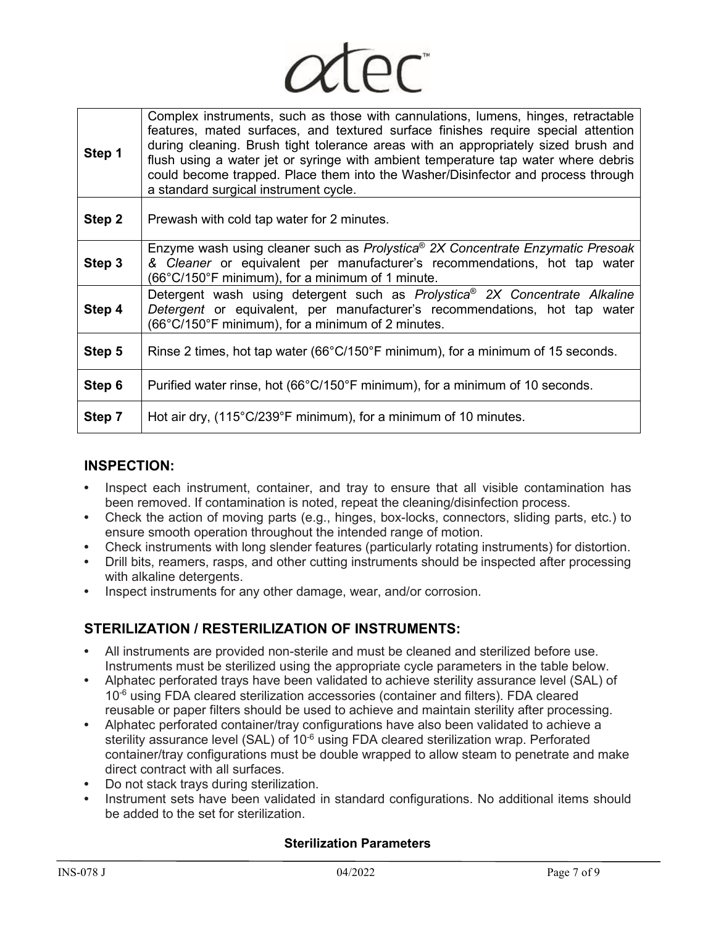| Step 1 | Complex instruments, such as those with cannulations, lumens, hinges, retractable<br>features, mated surfaces, and textured surface finishes require special attention<br>during cleaning. Brush tight tolerance areas with an appropriately sized brush and<br>flush using a water jet or syringe with ambient temperature tap water where debris<br>could become trapped. Place them into the Washer/Disinfector and process through<br>a standard surgical instrument cycle. |  |  |  |  |
|--------|---------------------------------------------------------------------------------------------------------------------------------------------------------------------------------------------------------------------------------------------------------------------------------------------------------------------------------------------------------------------------------------------------------------------------------------------------------------------------------|--|--|--|--|
| Step 2 | Prewash with cold tap water for 2 minutes.                                                                                                                                                                                                                                                                                                                                                                                                                                      |  |  |  |  |
| Step 3 | Enzyme wash using cleaner such as Prolystica <sup>®</sup> 2X Concentrate Enzymatic Presoak<br>& Cleaner or equivalent per manufacturer's recommendations, hot tap water<br>(66°C/150°F minimum), for a minimum of 1 minute.                                                                                                                                                                                                                                                     |  |  |  |  |
| Step 4 | Detergent wash using detergent such as Prolystica <sup>®</sup> 2X Concentrate Alkaline<br>Detergent or equivalent, per manufacturer's recommendations, hot tap water<br>(66°C/150°F minimum), for a minimum of 2 minutes.                                                                                                                                                                                                                                                       |  |  |  |  |
| Step 5 | Rinse 2 times, hot tap water (66 $\degree$ C/150 $\degree$ F minimum), for a minimum of 15 seconds.                                                                                                                                                                                                                                                                                                                                                                             |  |  |  |  |
| Step 6 | Purified water rinse, hot (66°C/150°F minimum), for a minimum of 10 seconds.                                                                                                                                                                                                                                                                                                                                                                                                    |  |  |  |  |
| Step 7 | Hot air dry, (115°C/239°F minimum), for a minimum of 10 minutes.                                                                                                                                                                                                                                                                                                                                                                                                                |  |  |  |  |

 $IPT$ 

# **INSPECTION:**

- **•** Inspect each instrument, container, and tray to ensure that all visible contamination has been removed. If contamination is noted, repeat the cleaning/disinfection process.
- **•** Check the action of moving parts (e.g., hinges, box-locks, connectors, sliding parts, etc.) to ensure smooth operation throughout the intended range of motion.
- **•** Check instruments with long slender features (particularly rotating instruments) for distortion.
- **•** Drill bits, reamers, rasps, and other cutting instruments should be inspected after processing with alkaline detergents.
- **•** Inspect instruments for any other damage, wear, and/or corrosion.

# **STERILIZATION / RESTERILIZATION OF INSTRUMENTS:**

- **•** All instruments are provided non-sterile and must be cleaned and sterilized before use. Instruments must be sterilized using the appropriate cycle parameters in the table below.
- **•** Alphatec perforated trays have been validated to achieve sterility assurance level (SAL) of  $10<sup>-6</sup>$  using FDA cleared sterilization accessories (container and filters). FDA cleared reusable or paper filters should be used to achieve and maintain sterility after processing.
- **•** Alphatec perforated container/tray configurations have also been validated to achieve a sterility assurance level (SAL) of 10<sup>-6</sup> using FDA cleared sterilization wrap. Perforated container/tray configurations must be double wrapped to allow steam to penetrate and make direct contract with all surfaces.
- **•** Do not stack trays during sterilization.
- **•** Instrument sets have been validated in standard configurations. No additional items should be added to the set for sterilization.

### **Sterilization Parameters**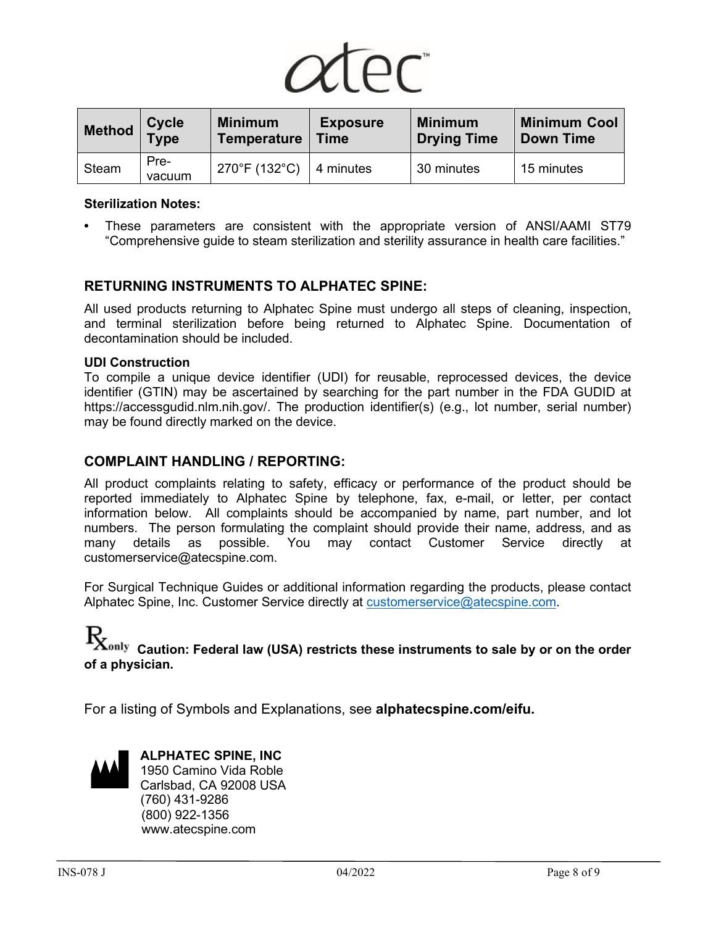

| Method       | <b>Cycle</b><br>Type | <b>Minimum</b><br><b>Temperature</b> | <b>Exposure</b><br><b>Time</b> | <b>Minimum</b><br><b>Drying Time</b> | <b>Minimum Cool</b><br><b>Down Time</b> |
|--------------|----------------------|--------------------------------------|--------------------------------|--------------------------------------|-----------------------------------------|
| <b>Steam</b> | Pre-<br>vacuum       | 270°F (132°C)                        | 14 minutes                     | 30 minutes                           | 15 minutes                              |

#### **Sterilization Notes:**

**•** These parameters are consistent with the appropriate version of ANSI/AAMI ST79 "Comprehensive guide to steam sterilization and sterility assurance in health care facilities."

### **RETURNING INSTRUMENTS TO ALPHATEC SPINE:**

All used products returning to Alphatec Spine must undergo all steps of cleaning, inspection, and terminal sterilization before being returned to Alphatec Spine. Documentation of decontamination should be included.

#### **UDI Construction**

To compile a unique device identifier (UDI) for reusable, reprocessed devices, the device identifier (GTIN) may be ascertained by searching for the part number in the FDA GUDID at https://accessgudid.nlm.nih.gov/. The production identifier(s) (e.g., lot number, serial number) may be found directly marked on the device.

#### **COMPLAINT HANDLING / REPORTING:**

All product complaints relating to safety, efficacy or performance of the product should be reported immediately to Alphatec Spine by telephone, fax, e-mail, or letter, per contact information below. All complaints should be accompanied by name, part number, and lot numbers. The person formulating the complaint should provide their name, address, and as many details as possible. You may contact Customer Service directly at customerservice@atecspine.com.

For Surgical Technique Guides or additional information regarding the products, please contact Alphatec Spine, Inc. Customer Service directly at [customerservice@atecspine.com.](mailto:customerservice@atecspine.com)

# **Caution: Federal law (USA) restricts these instruments to sale by or on the order of a physician.**

For a listing of Symbols and Explanations, see **alphatecspine.com/eifu.**



**ALPHATEC SPINE, INC**  1950 Camino Vida Roble Carlsbad, CA 92008 USA (760) 431-9286 (800) 922-1356 www.atecspine.com